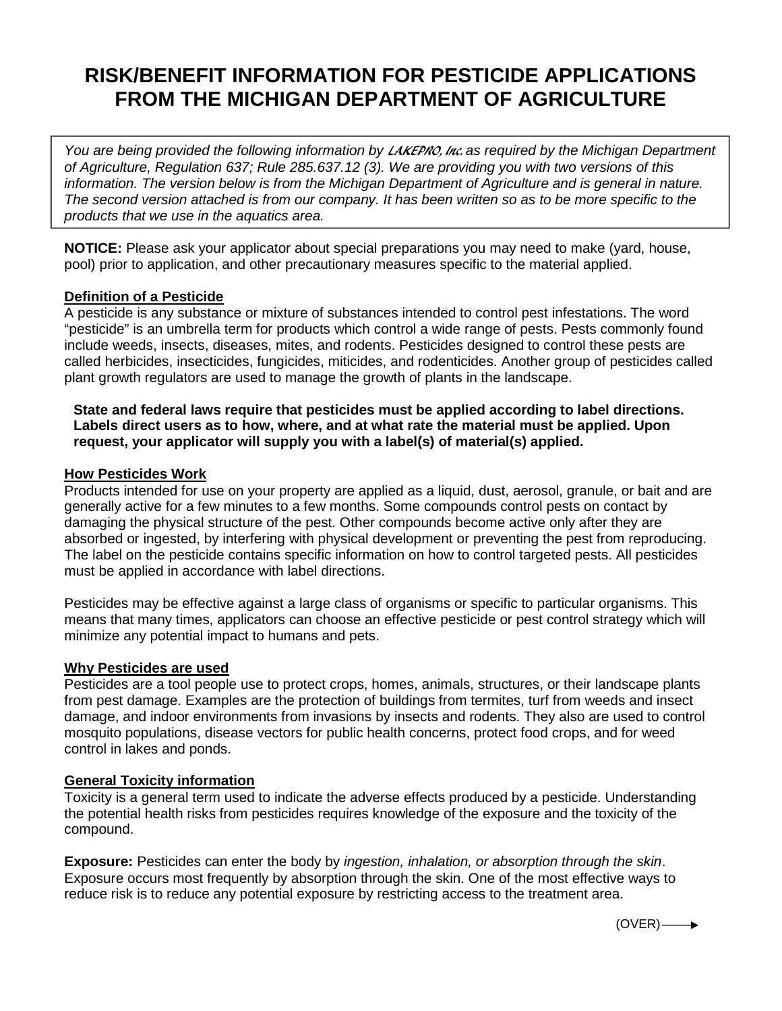# **RISK/BENEFIT INFORMATION FOR PESTICIDE APPLICATIONS FROM THE MICHIGAN DEPARTMENT OF AGRICULTURE**

*You are being provided the following information by* LAKEPRO, Inc. *as required by the Michigan Department of Agriculture, Regulation 637; Rule 285.637.12 (3). We are providing you with two versions of this information. The version below is from the Michigan Department of Agriculture and is general in nature. The second version attached is from our company. It has been written so as to be more specific to the products that we use in the aquatics area.*

**NOTICE:** Please ask your applicator about special preparations you may need to make (yard, house, pool) prior to application, and other precautionary measures specific to the material applied.

### **Definition of a Pesticide**

A pesticide is any substance or mixture of substances intended to control pest infestations. The word "pesticide" is an umbrella term for products which control a wide range of pests. Pests commonly found include weeds, insects, diseases, mites, and rodents. Pesticides designed to control these pests are called herbicides, insecticides, fungicides, miticides, and rodenticides. Another group of pesticides called plant growth regulators are used to manage the growth of plants in the landscape.

#### **State and federal laws require that pesticides must be applied according to label directions. Labels direct users as to how, where, and at what rate the material must be applied. Upon request, your applicator will supply you with a label(s) of material(s) applied.**

#### **How Pesticides Work**

Products intended for use on your property are applied as a liquid, dust, aerosol, granule, or bait and are generally active for a few minutes to a few months. Some compounds control pests on contact by damaging the physical structure of the pest. Other compounds become active only after they are absorbed or ingested, by interfering with physical development or preventing the pest from reproducing. The label on the pesticide contains specific information on how to control targeted pests. All pesticides must be applied in accordance with label directions.

Pesticides may be effective against a large class of organisms or specific to particular organisms. This means that many times, applicators can choose an effective pesticide or pest control strategy which will minimize any potential impact to humans and pets.

#### **Why Pesticides are used**

Pesticides are a tool people use to protect crops, homes, animals, structures, or their landscape plants from pest damage. Examples are the protection of buildings from termites, turf from weeds and insect damage, and indoor environments from invasions by insects and rodents. They also are used to control mosquito populations, disease vectors for public health concerns, protect food crops, and for weed control in lakes and ponds.

#### **General Toxicity information**

Toxicity is a general term used to indicate the adverse effects produced by a pesticide. Understanding the potential health risks from pesticides requires knowledge of the exposure and the toxicity of the compound.

**Exposure:** Pesticides can enter the body by *ingestion, inhalation, or absorption through the skin*. Exposure occurs most frequently by absorption through the skin. One of the most effective ways to reduce risk is to reduce any potential exposure by restricting access to the treatment area.

 $(OVER)$   $\longrightarrow$